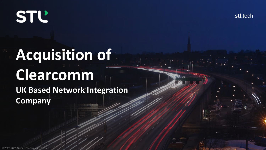**STL'** 

**stl.**tech

# **Acquisition of Clearcomm**

**UK Based Network Integration Company**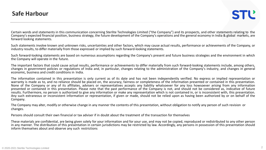Certain words and statements in this communication concerning Sterlite Technologies Limited ("the Company") and its prospects, and other statements relating to the Company's expected financial position, business strategy, the future development of the Company's operations and the general economy in India & global markets, are forward looking statements.

Such statements involve known and unknown risks, uncertainties and other factors, which may cause actual results, performance or achievements of the Company, or industry results, to differ materially from those expressed or implied by such forward-looking statements.

Such forward-looking statements are based on numerous assumptions regarding the Company's present and future business strategies and the environment in which the Company will operate in the future.

The important factors that could cause actual results, performance or achievements to differ materially from such forward-looking statements include, among others, changes in government policies or regulations of India and, in particular, changes relating to the administration of the Company's industry, and changes in general economic, business and credit conditions in India.

The information contained in this presentation is only current as of its date and has not been independently verified. No express or implied representation or warranty is made as to, and no reliance should be placed on, the accuracy, fairness or completeness of the information presented or contained in this presentation. None of the Company or any of its affiliates, advisers or representatives accepts any liability whatsoever for any loss howsoever arising from any information presented or contained in this presentation. Please note that the past performance of the Company is not, and should not be considered as, indicative of future results. Furthermore, no person is authorized to give any information or make any representation which is not contained in, or is inconsistent with, this presentation. Any such extraneous or inconsistent information or representation, if given or made, should not be relied upon as having been authorized by or on behalf of the Company.

The Company may alter, modify or otherwise change in any manner the contents of this presentation, without obligation to notify any person of such revision or changes.

Persons should consult their own financial or tax adviser if in doubt about the treatment of the transaction for themselves

These materials are confidential, are being given solely for your information and for your use, and may not be copied, reproduced or redistributed to any other person in any manner. The distribution of this presentation in certain jurisdictions may be restricted by law. Accordingly, any persons in possession of this presentation should inform themselves about and observe any such restrictions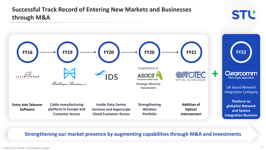## **Successful Track Record of Entering New Markets and Businesses through M&A**



### **Strengthening our market presence by augmenting capabilities through M&A and Investments**

**STĽ**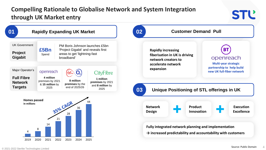## **Compelling Rationale to Globalise Network and System Integration through UK Market entry**

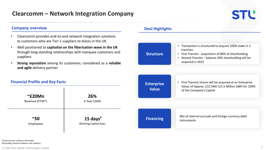## **STĽ**

• Transaction is structured to acquire 100% stake in 2

• First Tranche - acquisition of 80% of shareholding • Second Tranche – balance 20% shareholding will be

tranches

acquired in 2023

#### **Company overview**

- Clearcomm provides end-to-end network integration solutions to customers who are Tier-1 suppliers to telcos in the UK.
- Well positioned to **capitalize on the fiberisation wave in the UK**  through long-standing relationships with marquee customers and suppliers
- **Strong reputation** among its customers; considered as a **reliable and agile** delivery partner

#### **Financial Profile and Key Facts ~£20Mn**  Revenue (FY20\*) **26%**  3-Year CAGR **~50**  Employees **15 days #** Working Capital Days **Enterprise Value** Mix of internal accruals and foreign currency debt **Financing Financing Financing** • First Tranche shares will be acquired at an Enterprise Value, of Approx. £15.5Mn (15.5 Million GBP) for 100% of the Company's Capital

\*Financial year ending in November **#** Excluding retention debtors and creditors

#### **Deal Highlights**

**Structure**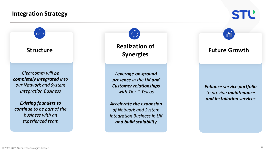## **Integration Strategy**

 $\frac{9}{600}$ 

**Structure**

*Clearcomm will be completely integrated into our Network and System Integration Business*

*Existing founders to continue to be part of the business with an experienced team*

**Realization of Synergies**

*Leverage on-ground presence in the UK and Customer relationships with Tier-1 Telcos* 

*Accelerate the expansion of Network and System Integration Business in UK and build scalability*

## **Future Growth**

 $\widehat{\mathbb{H}}$ 

**STĽ** 

*Enhance service portfolio to provide maintenance and installation services*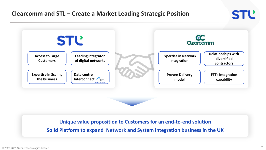## **Clearcomm and STL – Create a Market Leading Strategic Position**



**Unique value proposition to Customers for an end-to-end solution**

**Solid Platform to expand Network and System integration business in the UK**

**STĽ**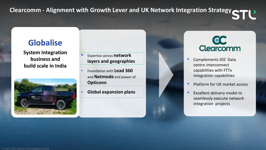**Clearcomm - Alignment with Growth Lever and UK Network Integration Strategy**  $\sim$ 

## **Globalise**

**System Integration business and build scale in India**



- Expertise across **network layers and geographies**
- Foundation with **Lead 360**  and **Netmode** and power of **Opticonn**
- **Global expansion plans**



- Complements IDS' Data centre interconnect capabilities with FTTx integration capabilities
- Platform for UK market access
- Excellent delivery model to seamlessly execute network integration projects